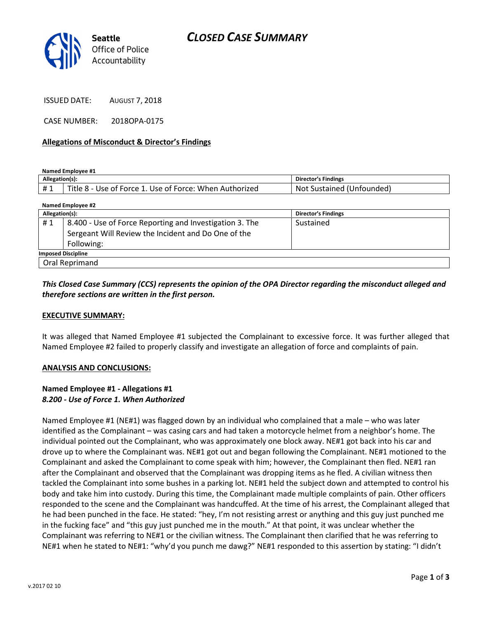

ISSUED DATE: AUGUST 7, 2018

CASE NUMBER: 2018OPA-0175

#### Allegations of Misconduct & Director's Findings

Named Employee #1

| <b>Allegation</b> |                                                                                    | Director's Findings             |
|-------------------|------------------------------------------------------------------------------------|---------------------------------|
| # 1<br>π          | Title.<br>: When Authorized<br><b>Force</b><br>Use of Force:<br>ັບ<br>ise ot<br>п. | No'<br>'Unfounded،<br>Sustained |

| Named Employee #2         |                                                         |                            |  |
|---------------------------|---------------------------------------------------------|----------------------------|--|
| Allegation(s):            |                                                         | <b>Director's Findings</b> |  |
| #1                        | 8.400 - Use of Force Reporting and Investigation 3. The | Sustained                  |  |
|                           | Sergeant Will Review the Incident and Do One of the     |                            |  |
|                           | Following:                                              |                            |  |
| <b>Imposed Discipline</b> |                                                         |                            |  |
| Oral Reprimand            |                                                         |                            |  |

## This Closed Case Summary (CCS) represents the opinion of the OPA Director regarding the misconduct alleged and therefore sections are written in the first person.

#### EXECUTIVE SUMMARY:

It was alleged that Named Employee #1 subjected the Complainant to excessive force. It was further alleged that Named Employee #2 failed to properly classify and investigate an allegation of force and complaints of pain.

#### ANALYSIS AND CONCLUSIONS:

#### Named Employee #1 - Allegations #1 8.200 - Use of Force 1. When Authorized

Named Employee #1 (NE#1) was flagged down by an individual who complained that a male – who was later identified as the Complainant – was casing cars and had taken a motorcycle helmet from a neighbor's home. The individual pointed out the Complainant, who was approximately one block away. NE#1 got back into his car and drove up to where the Complainant was. NE#1 got out and began following the Complainant. NE#1 motioned to the Complainant and asked the Complainant to come speak with him; however, the Complainant then fled. NE#1 ran after the Complainant and observed that the Complainant was dropping items as he fled. A civilian witness then tackled the Complainant into some bushes in a parking lot. NE#1 held the subject down and attempted to control his body and take him into custody. During this time, the Complainant made multiple complaints of pain. Other officers responded to the scene and the Complainant was handcuffed. At the time of his arrest, the Complainant alleged that he had been punched in the face. He stated: "hey, I'm not resisting arrest or anything and this guy just punched me in the fucking face" and "this guy just punched me in the mouth." At that point, it was unclear whether the Complainant was referring to NE#1 or the civilian witness. The Complainant then clarified that he was referring to NE#1 when he stated to NE#1: "why'd you punch me dawg?" NE#1 responded to this assertion by stating: "I didn't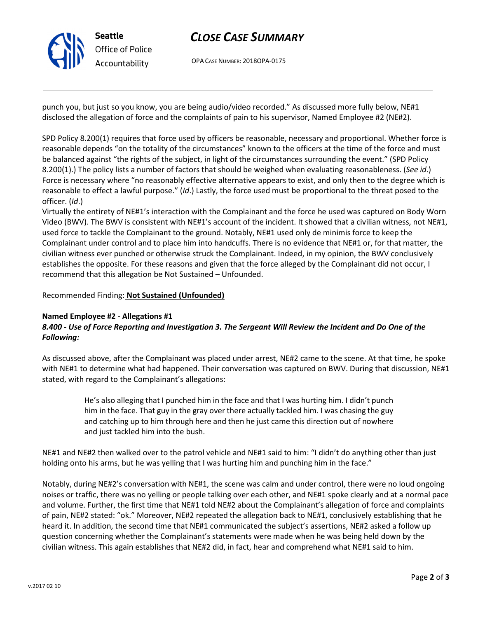

# CLOSE CASE SUMMARY

OPA CASE NUMBER: 2018OPA-0175

punch you, but just so you know, you are being audio/video recorded." As discussed more fully below, NE#1 disclosed the allegation of force and the complaints of pain to his supervisor, Named Employee #2 (NE#2).

SPD Policy 8.200(1) requires that force used by officers be reasonable, necessary and proportional. Whether force is reasonable depends "on the totality of the circumstances" known to the officers at the time of the force and must be balanced against "the rights of the subject, in light of the circumstances surrounding the event." (SPD Policy 8.200(1).) The policy lists a number of factors that should be weighed when evaluating reasonableness. (See id.) Force is necessary where "no reasonably effective alternative appears to exist, and only then to the degree which is reasonable to effect a lawful purpose." (Id.) Lastly, the force used must be proportional to the threat posed to the officer. (Id.)

Virtually the entirety of NE#1's interaction with the Complainant and the force he used was captured on Body Worn Video (BWV). The BWV is consistent with NE#1's account of the incident. It showed that a civilian witness, not NE#1, used force to tackle the Complainant to the ground. Notably, NE#1 used only de minimis force to keep the Complainant under control and to place him into handcuffs. There is no evidence that NE#1 or, for that matter, the civilian witness ever punched or otherwise struck the Complainant. Indeed, in my opinion, the BWV conclusively establishes the opposite. For these reasons and given that the force alleged by the Complainant did not occur, I recommend that this allegation be Not Sustained – Unfounded.

### Recommended Finding: Not Sustained (Unfounded)

#### Named Employee #2 - Allegations #1

# 8.400 - Use of Force Reporting and Investigation 3. The Sergeant Will Review the Incident and Do One of the Following:

As discussed above, after the Complainant was placed under arrest, NE#2 came to the scene. At that time, he spoke with NE#1 to determine what had happened. Their conversation was captured on BWV. During that discussion, NE#1 stated, with regard to the Complainant's allegations:

> He's also alleging that I punched him in the face and that I was hurting him. I didn't punch him in the face. That guy in the gray over there actually tackled him. I was chasing the guy and catching up to him through here and then he just came this direction out of nowhere and just tackled him into the bush.

NE#1 and NE#2 then walked over to the patrol vehicle and NE#1 said to him: "I didn't do anything other than just holding onto his arms, but he was yelling that I was hurting him and punching him in the face."

Notably, during NE#2's conversation with NE#1, the scene was calm and under control, there were no loud ongoing noises or traffic, there was no yelling or people talking over each other, and NE#1 spoke clearly and at a normal pace and volume. Further, the first time that NE#1 told NE#2 about the Complainant's allegation of force and complaints of pain, NE#2 stated: "ok." Moreover, NE#2 repeated the allegation back to NE#1, conclusively establishing that he heard it. In addition, the second time that NE#1 communicated the subject's assertions, NE#2 asked a follow up question concerning whether the Complainant's statements were made when he was being held down by the civilian witness. This again establishes that NE#2 did, in fact, hear and comprehend what NE#1 said to him.